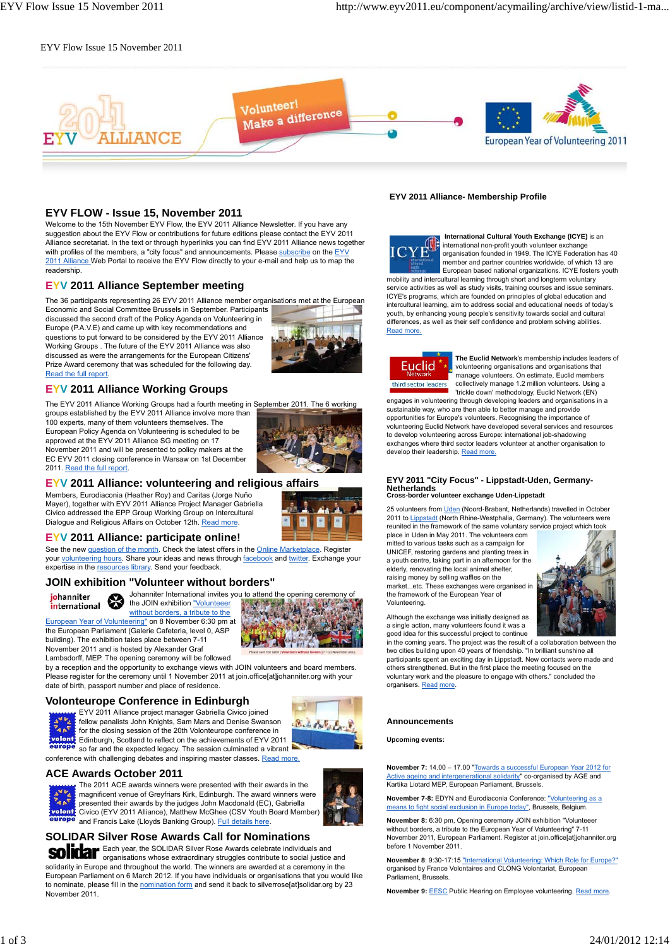# EYV Flow Issue 15 November 2011



# **EYV FLOW - Issue 15, November 2011**

Welcome to the 15th November EYV Flow, the EYV 2011 Alliance Newsletter. If you have any suggestion about the EYV Flow or contributions for future editions please contact the EYV 2011 Alliance secretariat. In the text or through hyperlinks you can find EYV 2011 Alliance news together with profiles of the members, a "city focus" and announcements. Please subscribe on the EYV 2011 Alliance Web Portal to receive the EYV Flow directly to your e-mail and help us to map the readership.

# **EYV 2011 Alliance September meeting**

The 36 participants representing 26 EYV 2011 Alliance member organisations met at the European

Economic and Social Committee Brussels in September. Participants discussed the second draft of the Policy Agenda on Volunteering in Europe (P.A.V.E) and came up with key recommendations and questions to put forward to be considered by the EYV 2011 Alliance Working Groups . The future of the EYV 2011 Alliance was also discussed as were the arrangements for the European Citizens' Prize Award ceremony that was scheduled for the following day. Read the full report.

# **EYV 2011 Alliance Working Groups**

The EYV 2011 Alliance Working Groups had a fourth meeting in September 2011. The 6 working groups established by the EYV 2011 Alliance involve more than 100 experts, many of them volunteers themselves. The European Policy Agenda on Volunteering is scheduled to be approved at the EYV 2011 Alliance SG meeting on 17 November 2011 and will be presented to policy makers at the EC EYV 2011 closing conference in Warsaw on 1st December 2011. Read the full report.



# **EYV 2011 Alliance: volunteering and religious affairs**

Members, Eurodiaconia (Heather Roy) and Caritas (Jorge Nuño Mayer), together with EYV 2011 Alliance Project Manager Gabriella Civico addressed the EPP Group Working Group on Intercultural Dialogue and Religious Affairs on October 12th. Read more.

#### **EYV 2011 Alliance: participate online!**

See the new question of the month. Check the latest offers in the Online Marketplace. Register your volunteering hours. Share your ideas and news through facebook and twitter. Exchange your expertise in the resources library. Send your feedback

## **JOIN exhibition "Volunteer without borders"**



Johanniter International invites you to attend the opening ceremony of ₩ the JOIN exhibition "Volunteeer

without borders, a tribute to the European Year of Volunteering" on 8 November 6:30 pm at the European Parliament (Galerie Cafeteria, level 0, ASP building). The exhibition takes place between 7-11 November 2011 and is hosted by Alexander Graf

Lambsdorff, MEP. The opening ceremony will be followed by a reception and the opportunity to exchange views with JOIN volunteers and board members.

Please register for the ceremony until 1 November 2011 at join.office[at]johanniter.org with your date of birth, passport number and place of residence

## **Volonteurope Conference in Edinburgh**



EYV 2011 Alliance project manager Gabriella Civico joined fellow panalists John Knights, Sam Mars and Denise Swanson for the closing session of the 20th Volonteurope conference in Edinburgh, Scotland to reflect on the achievements of EYV 2011 so far and the expected legacy. The session culminated a vibrant

conference with challenging debates and inspiring master classes. Read more.

### **ACE Awards October 2011**



The 2011 ACE awards winners were presented with their awards in the magnificent venue of Greyfriars Kirk, Edinburgh. The award winners were presented their awards by the judges John Macdonald (EC), Gabriella Civico (EYV 2011 Alliance), Matthew McGhee (CSV Youth Board Member) and Francis Lake (Lloyds Banking Group). Full details here.

S. S. Prof. E.

# **SOLIDAR Silver Rose Awards Call for Nominations**

Each year, the SOLIDAR Silver Rose Awards celebrate individuals and organisations whose extraordinary struggles contribute to social justice and solidarity in Europe and throughout the world. The winners are awarded at a ceremony in the European Parliament on 6 March 2012. If you have individuals or organisations that you would like to nominate, please fill in the nomination form and send it back to silverrose[at]solidar.org by 23 November 2011.

#### **EYV 2011 Alliance- Membership Profile**



 **International Cultural Youth Exchange (ICYE)** is an international non-profit youth volunteer exchange organisation founded in 1949. The ICYE Federation has 40 member and partner countries worldwide, of which 13 are European based national organizations. ICYE fosters youth mobility and intercultural learning through short and longterm voluntary service activities as well as study visits, training courses and issue seminars. ICYE's programs, which are founded on principles of global education and intercultural learning, aim to address social and educational needs of today's youth, by enhancing young people's sensitivity towards social and cultural differences, as well as their self confidence and problem solving abilities. Read more.



**The Euclid Network**'s membership includes leaders of volunteering organisations and organisations that manage volunteers. On estimate, Euclid members collectively manage 1.2 million volunteers. Using a 'trickle down' methodology, Euclid Network (EN)

engages in volunteering through developing leaders and organisations in a sustainable way, who are then able to better manage and provide opportunities for Europe's volunteers. Recognising the importance of volunteering Euclid Network have developed several services and resources to develop volunteering across Europe: international job-shadowing exchanges where third sector leaders volunteer at another organisation to develop their leadership. Read more.

#### **EYV 2011 "City Focus" - Lippstadt-Uden, Germany-Netherlands**<br>Cross-border vo **Cross-border volunteer exchange Uden-Lippstadt**

25 volunteers from Uden (Noord-Brabant, Netherlands) travelled in October 2011 to Lippstadt (North Rhine-Westphalia, Germany). The volunteers were reunited in the framework of the same voluntary service project which took

place in Uden in May 2011. The volunteers com mitted to various tasks such as a campaign for UNICEF, restoring gardens and planting trees in a youth centre, taking part in an afternoon for the elderly, renovating the local animal shelter, raising money by selling waffles on the market...etc. These exchanges were organised in the framework of the European Year of Volunteering.



Although the exchange was initially designed as a single action, many volunteers found it was a good idea for this successful project to continue

in the coming years. The project was the result of a collaboration between the two cities building upon 40 years of friendship. "In brilliant sunshine all participants spent an exciting day in Lippstadt. New contacts were made and others strengthened. But in the first place the meeting focused on the voluntary work and the pleasure to engage with others." concluded the organisers. Read more.

#### **Announcements**

**Upcoming events:**

**November 7:** 14.00 – 17.00 "Towards a successful European Year 2012 for Active ageing and intergenerational solidarity" co-organised by AGE and Kartika Liotard MEP, European Parliament, Brussels.

**November 7-8:** EDYN and Eurodiaconia Conference: "Volunteering as a means to fight social exclusion in Europe today", Brussels, Belgium.

**November 8:** 6:30 pm, Opening ceremony JOIN exhibition "Volunteeer without borders, a tribute to the European Year of Volunteering" 7-11 November 2011, European Parliament. Register at join.office[at]johanniter.org before 1 November 2011.

**November 8**: 9:30-17:15 "International Volunteering: Which Role for Europe?" organised by France Volontaires and CLONG Volontariat, European Parliament, Brussels.

**November 9: EESC Public Hearing on Employee volunteering. Read more.**